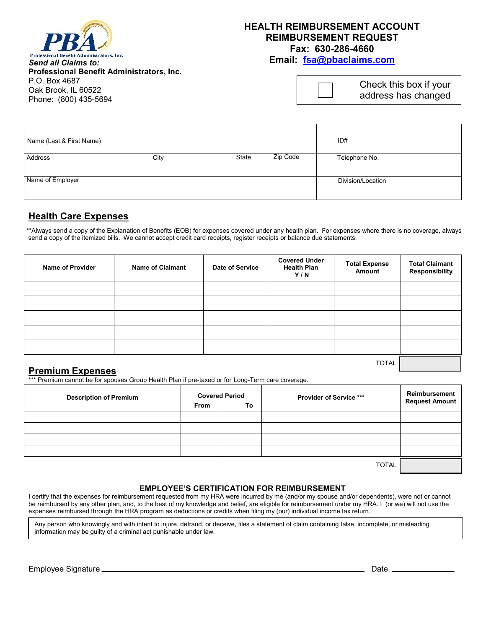

## **HEALTH REIMBURSEMENT ACCOUNT REIMBURSEMENT REQUEST Fax: 630-286-4660**

**Email: fsa@pbaclaims.com**

*Send all Claims to:* **Professional Benefit Administrators, Inc.** P.O. Box 4687 Oak Brook, IL 60522 Phone: (800) 435-5694

| Check this box if your |  |
|------------------------|--|
| address has changed    |  |

| Name (Last & First Name) |      |       |          | ID#               |
|--------------------------|------|-------|----------|-------------------|
| Address                  | City | State | Zip Code | Telephone No.     |
|                          |      |       |          |                   |
| Name of Employer         |      |       |          | Division/Location |
|                          |      |       |          |                   |

## **Health Care Expenses**

\*\*Always send a copy of the Explanation of Benefits (EOB) for expenses covered under any health plan. For expenses where there is no coverage, always send a copy of the itemized bills. We cannot accept credit card receipts, register receipts or balance due statements.

| <b>Name of Provider</b> | <b>Name of Claimant</b> | Date of Service | <b>Covered Under</b><br><b>Health Plan</b><br>Y/N | <b>Total Expense</b><br>Amount | <b>Total Claimant</b><br>Responsibility |
|-------------------------|-------------------------|-----------------|---------------------------------------------------|--------------------------------|-----------------------------------------|
|                         |                         |                 |                                                   |                                |                                         |
|                         |                         |                 |                                                   |                                |                                         |
|                         |                         |                 |                                                   |                                |                                         |
|                         |                         |                 |                                                   |                                |                                         |
|                         |                         |                 |                                                   |                                |                                         |
|                         |                         |                 |                                                   | <b>TOTAL</b>                   |                                         |

### **Premium Expenses**

\*\*\* Premium cannot be for spouses Group Health Plan if pre-taxed or for Long-Term care coverage.

| <b>Description of Premium</b> | <b>Covered Period</b><br>From<br>To |  | <b>Provider of Service ***</b> | Reimbursement<br><b>Request Amount</b> |
|-------------------------------|-------------------------------------|--|--------------------------------|----------------------------------------|
|                               |                                     |  |                                |                                        |
|                               |                                     |  |                                |                                        |
|                               |                                     |  |                                |                                        |
|                               |                                     |  |                                |                                        |
|                               |                                     |  | _ _ _ _ _                      |                                        |

TOTAL

#### **EMPLOYEE'S CERTIFICATION FOR REIMBURSEMENT**

I certify that the expenses for reimbursement requested from my HRA were incurred by me (and/or my spouse and/or dependents), were not or cannot be reimbursed by any other plan, and, to the best of my knowledge and belief, are eligible for reimbursement under my HRA. I (or we) will not use the expenses reimbursed through the HRA program as deductions or credits when filing my (our) individual income tax return.

Any person who knowingly and with intent to injure, defraud, or deceive, files a statement of claim containing false, incomplete, or misleading information may be guilty of a criminal act punishable under law.